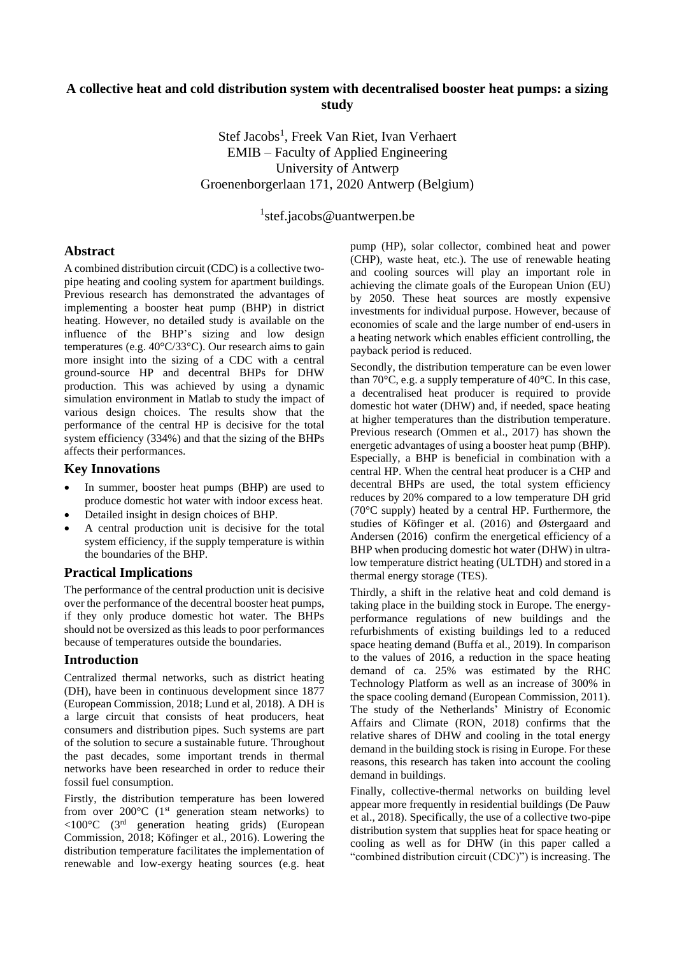# **A collective heat and cold distribution system with decentralised booster heat pumps: a sizing study**

Stef Jacobs<sup>1</sup>, Freek Van Riet, Ivan Verhaert EMIB – Faculty of Applied Engineering University of Antwerp Groenenborgerlaan 171, 2020 Antwerp (Belgium)

<sup>1</sup>stef.jacobs@uantwerpen.be

## **Abstract**

A combined distribution circuit (CDC) is a collective twopipe heating and cooling system for apartment buildings. Previous research has demonstrated the advantages of implementing a booster heat pump (BHP) in district heating. However, no detailed study is available on the influence of the BHP's sizing and low design temperatures (e.g. 40°C/33°C). Our research aims to gain more insight into the sizing of a CDC with a central ground-source HP and decentral BHPs for DHW production. This was achieved by using a dynamic simulation environment in Matlab to study the impact of various design choices. The results show that the performance of the central HP is decisive for the total system efficiency (334%) and that the sizing of the BHPs affects their performances.

# **Key Innovations**

- In summer, booster heat pumps (BHP) are used to produce domestic hot water with indoor excess heat.
- Detailed insight in design choices of BHP.
- A central production unit is decisive for the total system efficiency, if the supply temperature is within the boundaries of the BHP.

## **Practical Implications**

The performance of the central production unit is decisive over the performance of the decentral booster heat pumps, if they only produce domestic hot water. The BHPs should not be oversized as this leads to poor performances because of temperatures outside the boundaries.

## **Introduction**

Centralized thermal networks, such as district heating (DH), have been in continuous development since 1877 (European Commission, 2018; Lund et al, 2018). A DH is a large circuit that consists of heat producers, heat consumers and distribution pipes. Such systems are part of the solution to secure a sustainable future. Throughout the past decades, some important trends in thermal networks have been researched in order to reduce their fossil fuel consumption.

Firstly, the distribution temperature has been lowered from over  $200^{\circ}$ C (1<sup>st</sup> generation steam networks) to  $\leq 100^{\circ}$ C (3<sup>rd</sup> generation heating grids) (European Commission, 2018; Köfinger et al., 2016). Lowering the distribution temperature facilitates the implementation of renewable and low-exergy heating sources (e.g. heat

pump (HP), solar collector, combined heat and power (CHP), waste heat, etc.). The use of renewable heating and cooling sources will play an important role in achieving the climate goals of the European Union (EU) by 2050. These heat sources are mostly expensive investments for individual purpose. However, because of economies of scale and the large number of end-users in a heating network which enables efficient controlling, the payback period is reduced.

Secondly, the distribution temperature can be even lower than  $70^{\circ}$ C, e.g. a supply temperature of  $40^{\circ}$ C. In this case, a decentralised heat producer is required to provide domestic hot water (DHW) and, if needed, space heating at higher temperatures than the distribution temperature. Previous research (Ommen et al., 2017) has shown the energetic advantages of using a booster heat pump (BHP). Especially, a BHP is beneficial in combination with a central HP. When the central heat producer is a CHP and decentral BHPs are used, the total system efficiency reduces by 20% compared to a low temperature DH grid (70°C supply) heated by a central HP. Furthermore, the studies of Köfinger et al. (2016) and Østergaard and Andersen (2016) confirm the energetical efficiency of a BHP when producing domestic hot water (DHW) in ultralow temperature district heating (ULTDH) and stored in a thermal energy storage (TES).

Thirdly, a shift in the relative heat and cold demand is taking place in the building stock in Europe. The energyperformance regulations of new buildings and the refurbishments of existing buildings led to a reduced space heating demand (Buffa et al., 2019). In comparison to the values of 2016, a reduction in the space heating demand of ca. 25% was estimated by the RHC Technology Platform as well as an increase of 300% in the space cooling demand (European Commission, 2011). The study of the Netherlands' Ministry of Economic Affairs and Climate (RON, 2018) confirms that the relative shares of DHW and cooling in the total energy demand in the building stock is rising in Europe. For these reasons, this research has taken into account the cooling demand in buildings.

Finally, collective-thermal networks on building level appear more frequently in residential buildings (De Pauw et al., 2018). Specifically, the use of a collective two-pipe distribution system that supplies heat for space heating or cooling as well as for DHW (in this paper called a "combined distribution circuit (CDC)") is increasing. The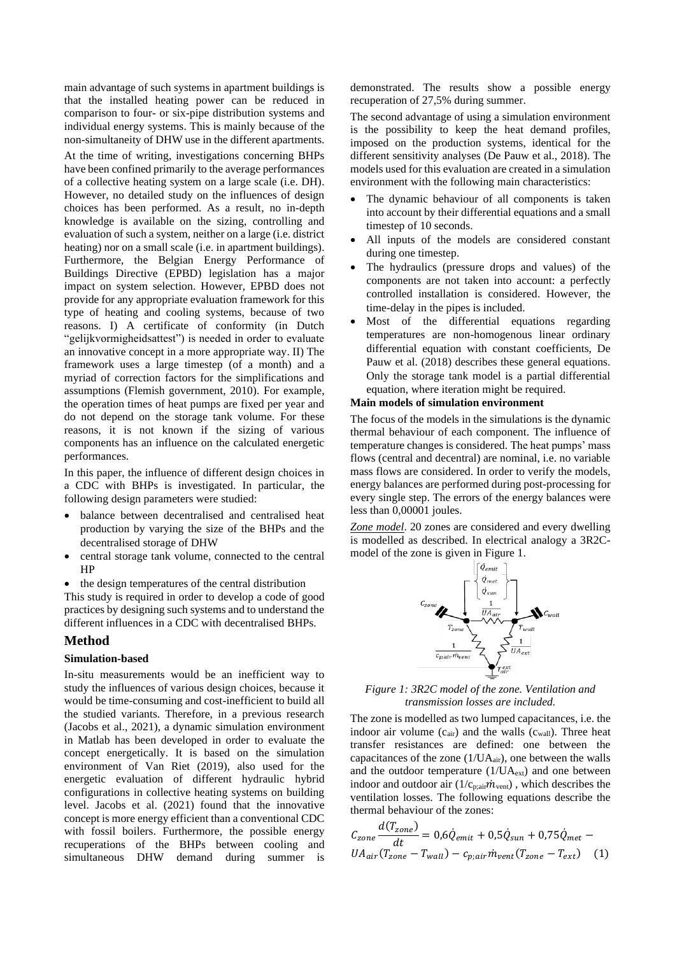main advantage of such systems in apartment buildings is that the installed heating power can be reduced in comparison to four- or six-pipe distribution systems and individual energy systems. This is mainly because of the non-simultaneity of DHW use in the different apartments.

At the time of writing, investigations concerning BHPs have been confined primarily to the average performances of a collective heating system on a large scale (i.e. DH). However, no detailed study on the influences of design choices has been performed. As a result, no in-depth knowledge is available on the sizing, controlling and evaluation of such a system, neither on a large (i.e. district heating) nor on a small scale (i.e. in apartment buildings). Furthermore, the Belgian Energy Performance of Buildings Directive (EPBD) legislation has a major impact on system selection. However, EPBD does not provide for any appropriate evaluation framework for this type of heating and cooling systems, because of two reasons. I) A certificate of conformity (in Dutch "gelijkvormigheidsattest") is needed in order to evaluate an innovative concept in a more appropriate way. II) The framework uses a large timestep (of a month) and a myriad of correction factors for the simplifications and assumptions (Flemish government, 2010). For example, the operation times of heat pumps are fixed per year and do not depend on the storage tank volume. For these reasons, it is not known if the sizing of various components has an influence on the calculated energetic performances.

In this paper, the influence of different design choices in a CDC with BHPs is investigated. In particular, the following design parameters were studied:

- balance between decentralised and centralised heat production by varying the size of the BHPs and the decentralised storage of DHW
- central storage tank volume, connected to the central HP
- the design temperatures of the central distribution

This study is required in order to develop a code of good practices by designing such systems and to understand the different influences in a CDC with decentralised BHPs.

## **Method**

#### **Simulation-based**

In-situ measurements would be an inefficient way to study the influences of various design choices, because it would be time-consuming and cost-inefficient to build all the studied variants. Therefore, in a previous research (Jacobs et al., 2021), a dynamic simulation environment in Matlab has been developed in order to evaluate the concept energetically. It is based on the simulation environment of Van Riet (2019), also used for the energetic evaluation of different hydraulic hybrid configurations in collective heating systems on building level. Jacobs et al. (2021) found that the innovative concept is more energy efficient than a conventional CDC with fossil boilers. Furthermore, the possible energy recuperations of the BHPs between cooling and simultaneous DHW demand during summer is

demonstrated. The results show a possible energy recuperation of 27,5% during summer.

The second advantage of using a simulation environment is the possibility to keep the heat demand profiles, imposed on the production systems, identical for the different sensitivity analyses (De Pauw et al., 2018). The models used for this evaluation are created in a simulation environment with the following main characteristics:

- The dynamic behaviour of all components is taken into account by their differential equations and a small timestep of 10 seconds.
- All inputs of the models are considered constant during one timestep.
- The hydraulics (pressure drops and values) of the components are not taken into account: a perfectly controlled installation is considered. However, the time-delay in the pipes is included.
- Most of the differential equations regarding temperatures are non-homogenous linear ordinary differential equation with constant coefficients, De Pauw et al. (2018) describes these general equations. Only the storage tank model is a partial differential equation, where iteration might be required.

## **Main models of simulation environment**

The focus of the models in the simulations is the dynamic thermal behaviour of each component. The influence of temperature changes is considered. The heat pumps' mass flows (central and decentral) are nominal, i.e. no variable mass flows are considered. In order to verify the models, energy balances are performed during post-processing for every single step. The errors of the energy balances were less than 0,00001 joules.

*Zone model*. 20 zones are considered and every dwelling is modelled as described. In electrical analogy a 3R2Cmodel of the zone is given in [Figure 1.](#page-1-0)



<span id="page-1-0"></span>*Figure 1: 3R2C model of the zone. Ventilation and transmission losses are included.*

The zone is modelled as two lumped capacitances, i.e. the indoor air volume  $(c_{air})$  and the walls  $(c_{wall})$ . Three heat transfer resistances are defined: one between the capacitances of the zone  $(1/UA_{air})$ , one between the walls and the outdoor temperature  $(1/UA<sub>ext</sub>)$  and one between indoor and outdoor air  $(1/c_{p;air} \dot{m}_{vent})$ , which describes the ventilation losses. The following equations describe the thermal behaviour of the zones:

$$
C_{zone} \frac{d(T_{zone})}{dt} = 0.6\dot{Q}_{emit} + 0.5\dot{Q}_{sun} + 0.75\dot{Q}_{met} - U A_{air}(T_{zone} - T_{wall}) - c_{p,air}\dot{m}_{vent}(T_{zone} - T_{ext}) \tag{1}
$$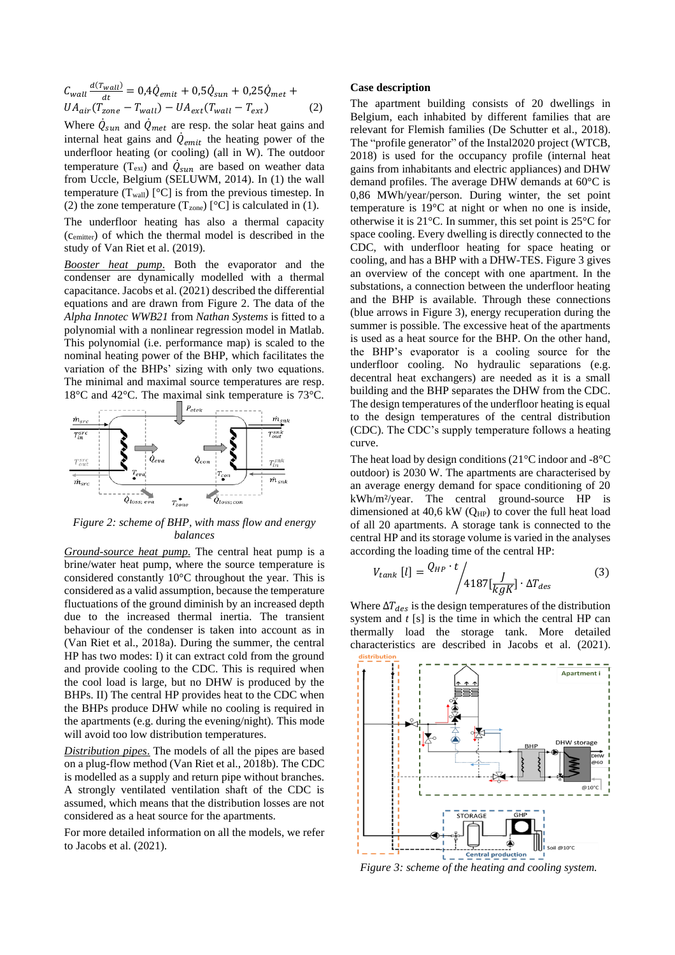$$
C_{wall} \frac{d(T_{wall})}{dt} = 0,4\dot{Q}_{emit} + 0,5\dot{Q}_{sun} + 0,25\dot{Q}_{met} + U A_{air}(T_{zone} - T_{wall}) - U A_{ext}(T_{wall} - T_{ext})
$$
 (2)

Where  $\dot{Q}_{sun}$  and  $\dot{Q}_{met}$  are resp. the solar heat gains and internal heat gains and  $\dot{Q}_{emit}$  the heating power of the underfloor heating (or cooling) (all in W). The outdoor temperature (T<sub>ext</sub>) and  $\dot{Q}_{sun}$  are based on weather data from Uccle, Belgium (SELUWM, 2014). In (1) the wall temperature  $(T_{wall})$  [°C] is from the previous timestep. In (2) the zone temperature  $(T_{zone})$  [°C] is calculated in (1).

The underfloor heating has also a thermal capacity (cemitter) of which the thermal model is described in the study of Van Riet et al. (2019).

*Booster heat pump*. Both the evaporator and the condenser are dynamically modelled with a thermal capacitance. Jacobs et al. (2021) described the differential equations and are drawn from [Figure 2.](#page-2-0) The data of the *Alpha Innotec WWB21* from *Nathan Systems* is fitted to a polynomial with a nonlinear regression model in Matlab. This polynomial (i.e. performance map) is scaled to the nominal heating power of the BHP, which facilitates the variation of the BHPs' sizing with only two equations. The minimal and maximal source temperatures are resp. 18°C and 42°C. The maximal sink temperature is 73°C.



<span id="page-2-0"></span>*Figure 2: scheme of BHP, with mass flow and energy balances*

*Ground-source heat pump*. The central heat pump is a brine/water heat pump, where the source temperature is considered constantly 10°C throughout the year. This is considered as a valid assumption, because the temperature fluctuations of the ground diminish by an increased depth due to the increased thermal inertia. The transient behaviour of the condenser is taken into account as in (Van Riet et al., 2018a). During the summer, the central HP has two modes: I) it can extract cold from the ground and provide cooling to the CDC. This is required when the cool load is large, but no DHW is produced by the BHPs. II) The central HP provides heat to the CDC when the BHPs produce DHW while no cooling is required in the apartments (e.g. during the evening/night). This mode will avoid too low distribution temperatures.

*Distribution pipes*. The models of all the pipes are based on a plug-flow method (Van Riet et al., 2018b). The CDC is modelled as a supply and return pipe without branches. A strongly ventilated ventilation shaft of the CDC is assumed, which means that the distribution losses are not considered as a heat source for the apartments.

For more detailed information on all the models, we refer to Jacobs et al. (2021).

#### **Case description**

The apartment building consists of 20 dwellings in Belgium, each inhabited by different families that are relevant for Flemish families (De Schutter et al., 2018). The "profile generator" of the Instal2020 project (WTCB, 2018) is used for the occupancy profile (internal heat gains from inhabitants and electric appliances) and DHW demand profiles. The average DHW demands at 60°C is 0,86 MWh/year/person. During winter, the set point temperature is 19°C at night or when no one is inside, otherwise it is 21°C. In summer, this set point is 25°C for space cooling. Every dwelling is directly connected to the CDC, with underfloor heating for space heating or cooling, and has a BHP with a DHW-TES. [Figure 3](#page-2-1) gives an overview of the concept with one apartment. In the substations, a connection between the underfloor heating and the BHP is available. Through these connections (blue arrows in [Figure 3\)](#page-2-1), energy recuperation during the summer is possible. The excessive heat of the apartments is used as a heat source for the BHP. On the other hand, the BHP's evaporator is a cooling source for the underfloor cooling. No hydraulic separations (e.g. decentral heat exchangers) are needed as it is a small building and the BHP separates the DHW from the CDC. The design temperatures of the underfloor heating is equal to the design temperatures of the central distribution (CDC). The CDC's supply temperature follows a heating curve.

The heat load by design conditions (21°C indoor and -8°C outdoor) is 2030 W. The apartments are characterised by an average energy demand for space conditioning of 20 kWh/m²/year. The central ground-source HP is dimensioned at  $40.6 \text{ kW}$  (Q<sub>HP</sub>) to cover the full heat load of all 20 apartments. A storage tank is connected to the central HP and its storage volume is varied in the analyses according the loading time of the central HP:

$$
V_{tank} [l] = \frac{Q_{HP} \cdot t}{4187 \left[\frac{J}{kgK}\right] \cdot \Delta T_{des}}
$$
 (3)

Where  $\Delta T_{des}$  is the design temperatures of the distribution system and *t* [s] is the time in which the central HP can thermally load the storage tank. More detailed characteristics are described in Jacobs et al. (2021).



<span id="page-2-1"></span>*Figure 3: scheme of the heating and cooling system.*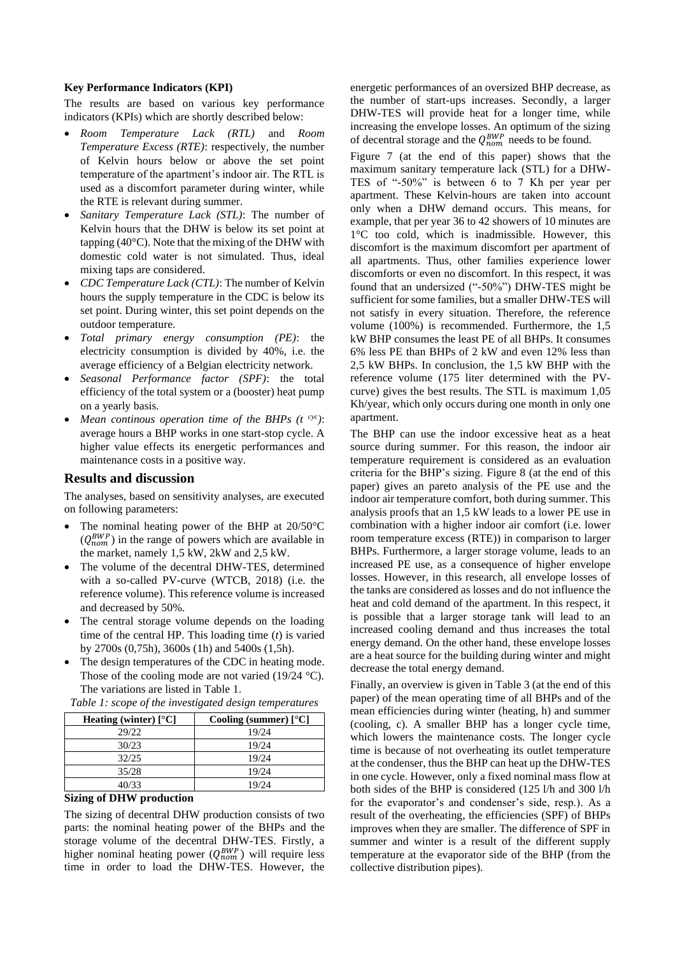#### **Key Performance Indicators (KPI)**

The results are based on various key performance indicators (KPIs) which are shortly described below:

- *Room Temperature Lack (RTL)* and *Room Temperature Excess (RTE)*: respectively, the number of Kelvin hours below or above the set point temperature of the apartment's indoor air. The RTL is used as a discomfort parameter during winter, while the RTE is relevant during summer.
- *Sanitary Temperature Lack (STL)*: The number of Kelvin hours that the DHW is below its set point at tapping  $(40^{\circ}$ C). Note that the mixing of the DHW with domestic cold water is not simulated. Thus, ideal mixing taps are considered.
- *CDC Temperature Lack (CTL)*: The number of Kelvin hours the supply temperature in the CDC is below its set point. During winter, this set point depends on the outdoor temperature.
- *Total primary energy consumption (PE)*: the electricity consumption is divided by 40%, i.e. the average efficiency of a Belgian electricity network.
- *Seasonal Performance factor (SPF)*: the total efficiency of the total system or a (booster) heat pump on a yearly basis.
- *Mean continous operation time of the BHPs (t cyc)*: average hours a BHP works in one start-stop cycle. A higher value effects its energetic performances and maintenance costs in a positive way.

## **Results and discussion**

The analyses, based on sensitivity analyses, are executed on following parameters:

- The nominal heating power of the BHP at  $20/50^{\circ}$ C  $(Q_{nom}^{BWP})$  in the range of powers which are available in the market, namely 1,5 kW, 2kW and 2,5 kW.
- The volume of the decentral DHW-TES, determined with a so-called PV-curve (WTCB, 2018) (i.e. the reference volume). This reference volume is increased and decreased by 50%.
- The central storage volume depends on the loading time of the central HP. This loading time (*t*) is varied by 2700s (0,75h), 3600s (1h) and 5400s (1,5h).
- The design temperatures of the CDC in heating mode. Those of the cooling mode are not varied (19/24 °C). The variations are listed in [Table 1.](#page-3-0)

| Heating (winter) $[^{\circ}C]$ | Cooling (summer) $[°C]$ |
|--------------------------------|-------------------------|
| 29/22                          | 19/24                   |
| 30/23                          | 19/24                   |
| 32/25                          | 19/24                   |
| 35/28                          | 19/24                   |
| 40/33                          | 19/24                   |

#### <span id="page-3-0"></span>*Table 1: scope of the investigated design temperatures*

#### **Sizing of DHW production**

The sizing of decentral DHW production consists of two parts: the nominal heating power of the BHPs and the storage volume of the decentral DHW-TES. Firstly, a higher nominal heating power  $(Q_{nom}^{BWP})$  will require less time in order to load the DHW-TES. However, the

energetic performances of an oversized BHP decrease, as the number of start-ups increases. Secondly, a larger DHW-TES will provide heat for a longer time, while increasing the envelope losses. An optimum of the sizing of decentral storage and the  $Q_{nom}^{BWP}$  needs to be found.

[Figure 7](#page-7-0) (at the end of this paper) shows that the maximum sanitary temperature lack (STL) for a DHW-TES of "-50%" is between 6 to 7 Kh per year per apartment. These Kelvin-hours are taken into account only when a DHW demand occurs. This means, for example, that per year 36 to 42 showers of 10 minutes are 1°C too cold, which is inadmissible. However, this discomfort is the maximum discomfort per apartment of all apartments. Thus, other families experience lower discomforts or even no discomfort. In this respect, it was found that an undersized ("-50%") DHW-TES might be sufficient for some families, but a smaller DHW-TES will not satisfy in every situation. Therefore, the reference volume (100%) is recommended. Furthermore, the 1,5 kW BHP consumes the least PE of all BHPs. It consumes 6% less PE than BHPs of 2 kW and even 12% less than 2,5 kW BHPs. In conclusion, the 1,5 kW BHP with the reference volume (175 liter determined with the PVcurve) gives the best results. The STL is maximum 1,05 Kh/year, which only occurs during one month in only one apartment.

The BHP can use the indoor excessive heat as a heat source during summer. For this reason, the indoor air temperature requirement is considered as an evaluation criteria for the BHP's sizing. [Figure 8](#page-7-1) (at the end of this paper) gives an pareto analysis of the PE use and the indoor air temperature comfort, both during summer. This analysis proofs that an 1,5 kW leads to a lower PE use in combination with a higher indoor air comfort (i.e. lower room temperature excess (RTE)) in comparison to larger BHPs. Furthermore, a larger storage volume, leads to an increased PE use, as a consequence of higher envelope losses. However, in this research, all envelope losses of the tanks are considered as losses and do not influence the heat and cold demand of the apartment. In this respect, it is possible that a larger storage tank will lead to an increased cooling demand and thus increases the total energy demand. On the other hand, these envelope losses are a heat source for the building during winter and might decrease the total energy demand.

Finally, an overview is given in [Table 3](#page-7-2) (at the end of this paper) of the mean operating time of all BHPs and of the mean efficiencies during winter (heating, h) and summer (cooling, c). A smaller BHP has a longer cycle time, which lowers the maintenance costs. The longer cycle time is because of not overheating its outlet temperature at the condenser, thus the BHP can heat up the DHW-TES in one cycle. However, only a fixed nominal mass flow at both sides of the BHP is considered (125 l/h and 300 l/h for the evaporator's and condenser's side, resp.). As a result of the overheating, the efficiencies (SPF) of BHPs improves when they are smaller. The difference of SPF in summer and winter is a result of the different supply temperature at the evaporator side of the BHP (from the collective distribution pipes).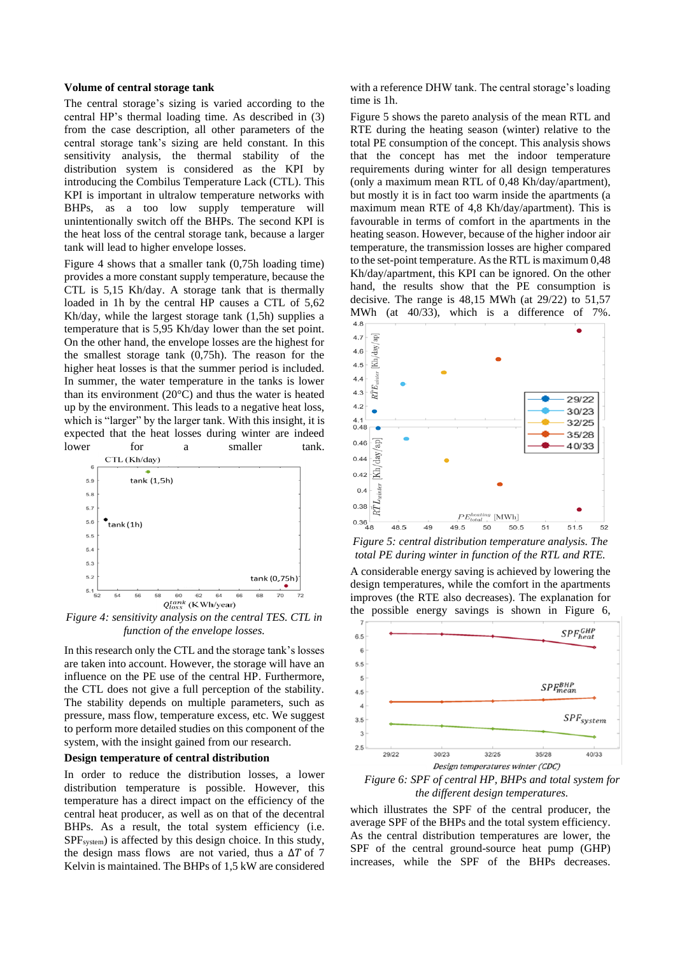#### **Volume of central storage tank**

The central storage's sizing is varied according to the central HP's thermal loading time. As described in (3) from the case description, all other parameters of the central storage tank's sizing are held constant. In this sensitivity analysis, the thermal stability of the distribution system is considered as the KPI by introducing the Combilus Temperature Lack (CTL). This KPI is important in ultralow temperature networks with BHPs, as a too low supply temperature will unintentionally switch off the BHPs. The second KPI is the heat loss of the central storage tank, because a larger tank will lead to higher envelope losses.

[Figure 4](#page-4-0) shows that a smaller tank (0,75h loading time) provides a more constant supply temperature, because the CTL is 5,15 Kh/day. A storage tank that is thermally loaded in 1h by the central HP causes a CTL of 5,62 Kh/day, while the largest storage tank (1,5h) supplies a temperature that is 5,95 Kh/day lower than the set point. On the other hand, the envelope losses are the highest for the smallest storage tank (0,75h). The reason for the higher heat losses is that the summer period is included. In summer, the water temperature in the tanks is lower than its environment (20°C) and thus the water is heated up by the environment. This leads to a negative heat loss, which is "larger" by the larger tank. With this insight, it is expected that the heat losses during winter are indeed lower for a smaller tank.



<span id="page-4-0"></span>*Figure 4: sensitivity analysis on the central TES. CTL in function of the envelope losses.*

In this research only the CTL and the storage tank's losses are taken into account. However, the storage will have an influence on the PE use of the central HP. Furthermore, the CTL does not give a full perception of the stability. The stability depends on multiple parameters, such as pressure, mass flow, temperature excess, etc. We suggest to perform more detailed studies on this component of the system, with the insight gained from our research.

#### **Design temperature of central distribution**

In order to reduce the distribution losses, a lower distribution temperature is possible. However, this temperature has a direct impact on the efficiency of the central heat producer, as well as on that of the decentral BHPs. As a result, the total system efficiency (i.e. SPF<sub>system</sub>) is affected by this design choice. In this study, the design mass flows are not varied, thus a  $\Delta T$  of 7 Kelvin is maintained. The BHPs of 1,5 kW are considered

with a reference DHW tank. The central storage's loading time is 1h.

[Figure 5](#page-4-1) shows the pareto analysis of the mean RTL and RTE during the heating season (winter) relative to the total PE consumption of the concept. This analysis shows that the concept has met the indoor temperature requirements during winter for all design temperatures (only a maximum mean RTL of 0,48 Kh/day/apartment), but mostly it is in fact too warm inside the apartments (a maximum mean RTE of 4,8 Kh/day/apartment). This is favourable in terms of comfort in the apartments in the heating season. However, because of the higher indoor air temperature, the transmission losses are higher compared to the set-point temperature. As the RTL is maximum 0,48 Kh/day/apartment, this KPI can be ignored. On the other hand, the results show that the PE consumption is decisive. The range is  $48,15$  MWh (at  $29/22$ ) to  $51,57$ MWh (at 40/33), which is a difference of 7%.



<span id="page-4-1"></span>*Figure 5: central distribution temperature analysis. The total PE during winter in function of the RTL and RTE.*

A considerable energy saving is achieved by lowering the design temperatures, while the comfort in the apartments improves (the RTE also decreases). The explanation for the possible energy savings is shown in [Figure 6,](#page-4-2)



<span id="page-4-2"></span>*Figure 6: SPF of central HP, BHPs and total system for the different design temperatures.*

which illustrates the SPF of the central producer, the average SPF of the BHPs and the total system efficiency. As the central distribution temperatures are lower, the SPF of the central ground-source heat pump (GHP) increases, while the SPF of the BHPs decreases.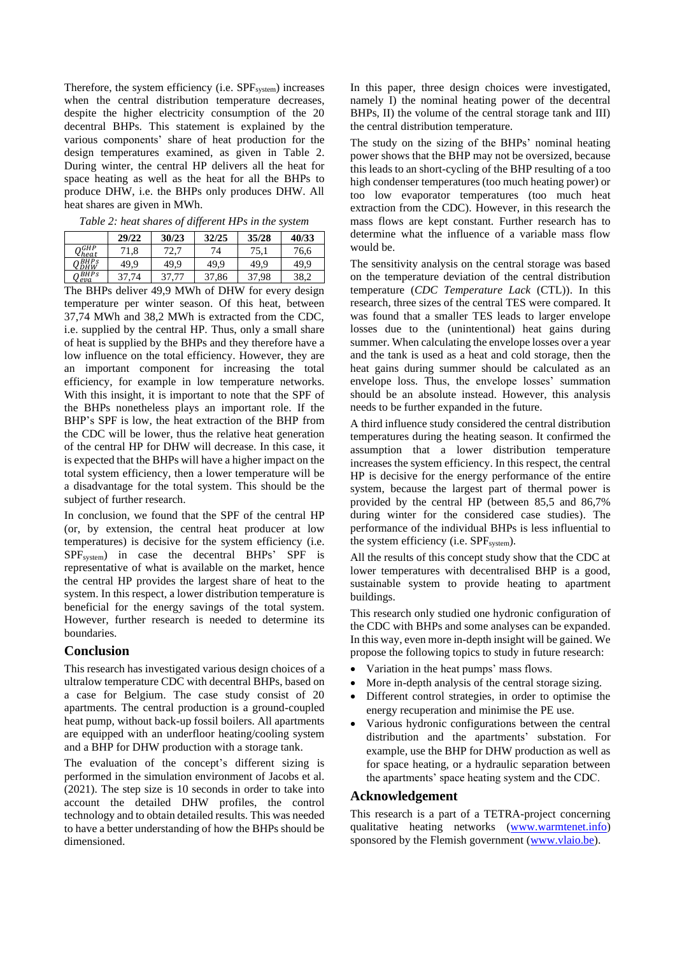Therefore, the system efficiency (i.e.  $SPF_{system}$ ) increases when the central distribution temperature decreases, despite the higher electricity consumption of the 20 decentral BHPs. This statement is explained by the various components' share of heat production for the design temperatures examined, as given in [Table 2.](#page-5-0) During winter, the central HP delivers all the heat for space heating as well as the heat for all the BHPs to produce DHW, i.e. the BHPs only produces DHW. All heat shares are given in MWh.

<span id="page-5-0"></span>

|                  | 29/22 | 30/23 | 32/25  | 35/28 | 40/33 |
|------------------|-------|-------|--------|-------|-------|
| $Q_{heat}^{GHP}$ | 71,8  | 72,7  | 74     | 75.1  | 76,6  |
| $Q_{DHW}^{BHPs}$ | 49.9  | 49.9  | 49.9   | 49.9  | 49.9  |
| $\bigcap$ BHPs   | 27 71 | 37.77 | 27 Q.G | 27.QQ | 20 J  |

*Table 2: heat shares of different HPs in the system*

 $Q_{eva}^{BHPs}$  37,74 37,77 37,86 37,98 38,2 The BHPs deliver 49,9 MWh of DHW for every design temperature per winter season. Of this heat, between 37,74 MWh and 38,2 MWh is extracted from the CDC, i.e. supplied by the central HP. Thus, only a small share of heat is supplied by the BHPs and they therefore have a low influence on the total efficiency. However, they are an important component for increasing the total efficiency, for example in low temperature networks. With this insight, it is important to note that the SPF of the BHPs nonetheless plays an important role. If the BHP's SPF is low, the heat extraction of the BHP from the CDC will be lower, thus the relative heat generation of the central HP for DHW will decrease. In this case, it is expected that the BHPs will have a higher impact on the total system efficiency, then a lower temperature will be a disadvantage for the total system. This should be the subject of further research.

In conclusion, we found that the SPF of the central HP (or, by extension, the central heat producer at low temperatures) is decisive for the system efficiency (i.e. SPFsystem) in case the decentral BHPs' SPF is representative of what is available on the market, hence the central HP provides the largest share of heat to the system. In this respect, a lower distribution temperature is beneficial for the energy savings of the total system. However, further research is needed to determine its boundaries.

## **Conclusion**

This research has investigated various design choices of a ultralow temperature CDC with decentral BHPs, based on a case for Belgium. The case study consist of 20 apartments. The central production is a ground-coupled heat pump, without back-up fossil boilers. All apartments are equipped with an underfloor heating/cooling system and a BHP for DHW production with a storage tank.

The evaluation of the concept's different sizing is performed in the simulation environment of Jacobs et al. (2021). The step size is 10 seconds in order to take into account the detailed DHW profiles, the control technology and to obtain detailed results. This was needed to have a better understanding of how the BHPs should be dimensioned.

In this paper, three design choices were investigated, namely I) the nominal heating power of the decentral BHPs, II) the volume of the central storage tank and III) the central distribution temperature.

The study on the sizing of the BHPs' nominal heating power shows that the BHP may not be oversized, because this leads to an short-cycling of the BHP resulting of a too high condenser temperatures (too much heating power) or too low evaporator temperatures (too much heat extraction from the CDC). However, in this research the mass flows are kept constant. Further research has to determine what the influence of a variable mass flow would be.

The sensitivity analysis on the central storage was based on the temperature deviation of the central distribution temperature (*CDC Temperature Lack* (CTL)). In this research, three sizes of the central TES were compared. It was found that a smaller TES leads to larger envelope losses due to the (unintentional) heat gains during summer. When calculating the envelope losses over a year and the tank is used as a heat and cold storage, then the heat gains during summer should be calculated as an envelope loss. Thus, the envelope losses' summation should be an absolute instead. However, this analysis needs to be further expanded in the future.

A third influence study considered the central distribution temperatures during the heating season. It confirmed the assumption that a lower distribution temperature increases the system efficiency. In this respect, the central HP is decisive for the energy performance of the entire system, because the largest part of thermal power is provided by the central HP (between 85,5 and 86,7% during winter for the considered case studies). The performance of the individual BHPs is less influential to the system efficiency (i.e.  $SPF_{system}$ ).

All the results of this concept study show that the CDC at lower temperatures with decentralised BHP is a good, sustainable system to provide heating to apartment buildings.

This research only studied one hydronic configuration of the CDC with BHPs and some analyses can be expanded. In this way, even more in-depth insight will be gained. We propose the following topics to study in future research:

- Variation in the heat pumps' mass flows.
- More in-depth analysis of the central storage sizing.
- Different control strategies, in order to optimise the energy recuperation and minimise the PE use.
- Various hydronic configurations between the central distribution and the apartments' substation. For example, use the BHP for DHW production as well as for space heating, or a hydraulic separation between the apartments' space heating system and the CDC.

## **Acknowledgement**

This research is a part of a TETRA-project concerning qualitative heating networks [\(www.warmtenet.info\)](http://www.warmtenet.info/) sponsored by the Flemish government [\(www.vlaio.be\)](http://www.vlaio.be/).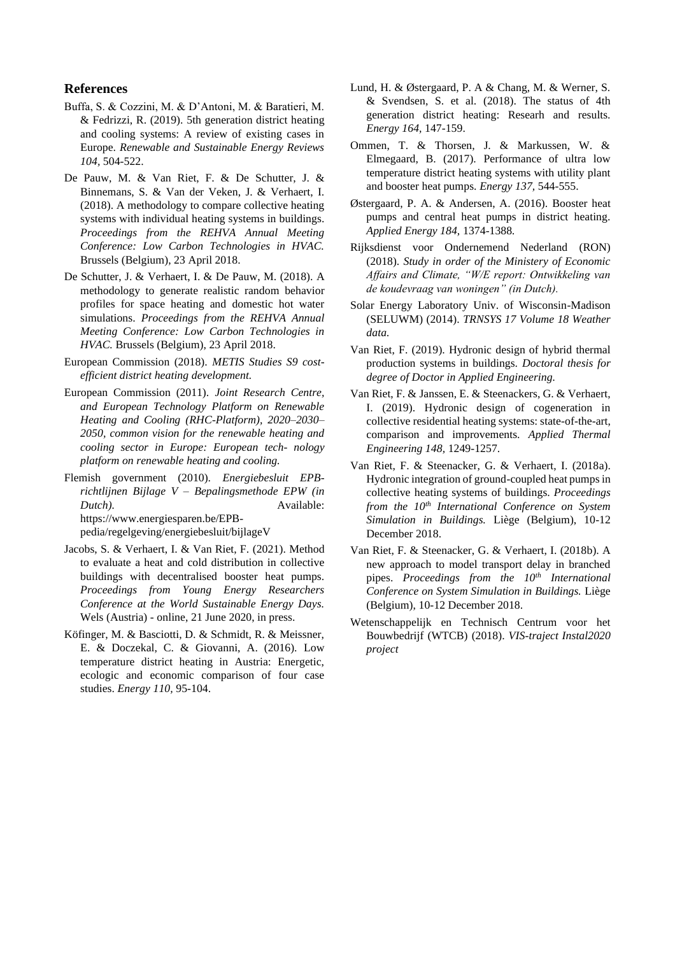#### **References**

- Buffa, S. & Cozzini, M. & D'Antoni, M. & Baratieri, M. & Fedrizzi, R. (2019). 5th generation district heating and cooling systems: A review of existing cases in Europe. *Renewable and Sustainable Energy Reviews 104,* 504-522.
- De Pauw, M. & Van Riet, F. & De Schutter, J. & Binnemans, S. & Van der Veken, J. & Verhaert, I. (2018). A methodology to compare collective heating systems with individual heating systems in buildings. *Proceedings from the REHVA Annual Meeting Conference: Low Carbon Technologies in HVAC.* Brussels (Belgium), 23 April 2018.
- De Schutter, J. & Verhaert, I. & De Pauw, M. (2018). A methodology to generate realistic random behavior profiles for space heating and domestic hot water simulations. *Proceedings from the REHVA Annual Meeting Conference: Low Carbon Technologies in HVAC.* Brussels (Belgium), 23 April 2018.
- European Commission (2018). *METIS Studies S9 costefficient district heating development.*
- European Commission (2011). *Joint Research Centre, and European Technology Platform on Renewable Heating and Cooling (RHC-Platform), 2020–2030– 2050, common vision for the renewable heating and cooling sector in Europe: European tech- nology platform on renewable heating and cooling.*
- Flemish government (2010). *Energiebesluit EPBrichtlijnen Bijlage V – Bepalingsmethode EPW (in Dutch).* Available: https://www.energiesparen.be/EPBpedia/regelgeving/energiebesluit/bijlageV
- Jacobs, S. & Verhaert, I. & Van Riet, F. (2021). Method to evaluate a heat and cold distribution in collective buildings with decentralised booster heat pumps. *Proceedings from Young Energy Researchers Conference at the World Sustainable Energy Days.*  Wels (Austria) - online, 21 June 2020, in press.
- Köfinger, M. & Basciotti, D. & Schmidt, R. & Meissner, E. & Doczekal, C. & Giovanni, A. (2016). Low temperature district heating in Austria: Energetic, ecologic and economic comparison of four case studies. *Energy 110,* 95-104.
- Lund, H. & Østergaard, P. A & Chang, M. & Werner, S. & Svendsen, S. et al. (2018). The status of 4th generation district heating: Researh and results. *Energy 164,* 147-159.
- Ommen, T. & Thorsen, J. & Markussen, W. & Elmegaard, B. (2017). Performance of ultra low temperature district heating systems with utility plant and booster heat pumps. *Energy 137,* 544-555.
- Østergaard, P. A. & Andersen, A. (2016). Booster heat pumps and central heat pumps in district heating. *Applied Energy 184,* 1374-1388*.*
- Rijksdienst voor Ondernemend Nederland (RON) (2018). *Study in order of the Ministery of Economic Affairs and Climate, "W/E report: Ontwikkeling van de koudevraag van woningen" (in Dutch).*
- Solar Energy Laboratory Univ. of Wisconsin-Madison (SELUWM) (2014). *TRNSYS 17 Volume 18 Weather data.*
- Van Riet, F. (2019). Hydronic design of hybrid thermal production systems in buildings. *Doctoral thesis for degree of Doctor in Applied Engineering.*
- Van Riet, F. & Janssen, E. & Steenackers, G. & Verhaert, I. (2019). Hydronic design of cogeneration in collective residential heating systems: state-of-the-art, comparison and improvements. *Applied Thermal Engineering 148,* 1249-1257.
- Van Riet, F. & Steenacker, G. & Verhaert, I. (2018a). Hydronic integration of ground-coupled heat pumps in collective heating systems of buildings. *Proceedings from the 10th International Conference on System Simulation in Buildings.* Liège (Belgium), 10-12 December 2018.
- Van Riet, F. & Steenacker, G. & Verhaert, I. (2018b). A new approach to model transport delay in branched pipes. *Proceedings from the 10th International Conference on System Simulation in Buildings.* Liège (Belgium), 10-12 December 2018.
- Wetenschappelijk en Technisch Centrum voor het Bouwbedrijf (WTCB) (2018). *VIS-traject Instal2020 project*